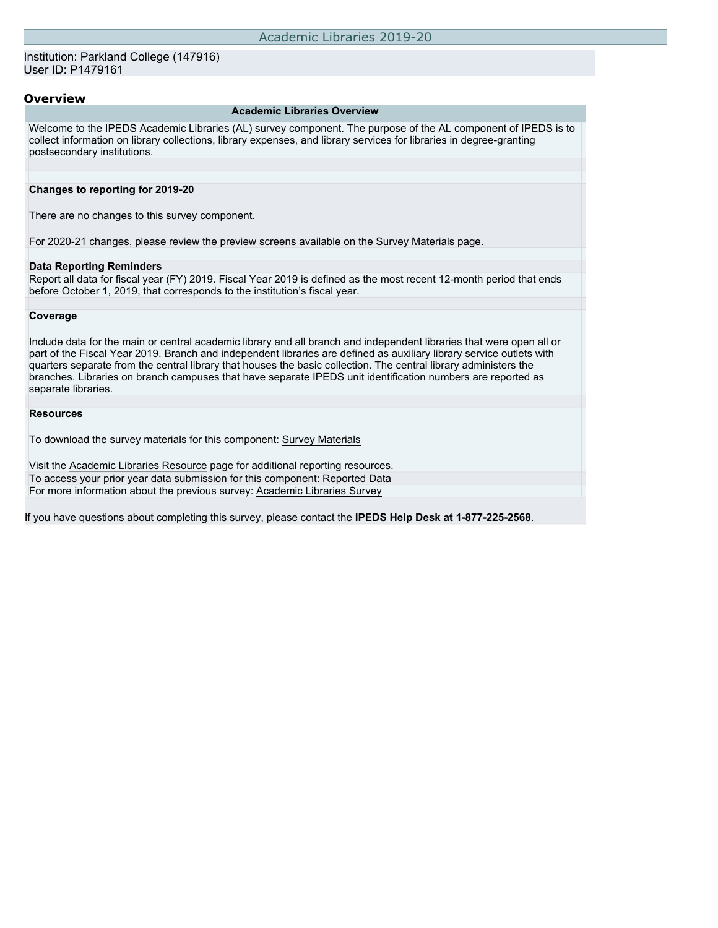### **Overview**

### **Academic Libraries Overview**

Welcome to the IPEDS Academic Libraries (AL) survey component. The purpose of the AL component of IPEDS is to collect information on library collections, library expenses, and library services for libraries in degree-granting postsecondary institutions.

### **Changes to reporting for 2019-20**

There are no changes to this survey component.

For 2020-21 changes, please review the preview screens available on the [Survey Materials](https://surveys.nces.ed.gov/ipeds/VisIndex.aspx) page.

#### **Data Reporting Reminders**

Report all data for fiscal year (FY) 2019. Fiscal Year 2019 is defined as the most recent 12-month period that ends before October 1, 2019, that corresponds to the institution's fiscal year.

### **Coverage**

Include data for the main or central academic library and all branch and independent libraries that were open all or part of the Fiscal Year 2019. Branch and independent libraries are defined as auxiliary library service outlets with quarters separate from the central library that houses the basic collection. The central library administers the branches. Libraries on branch campuses that have separate IPEDS unit identification numbers are reported as separate libraries.

### **Resources**

To download the survey materials for this component: [Survey Materials](https://surveys.nces.ed.gov/ipeds/VisIndex.aspx)

Visit the [Academic Libraries Resource](https://nces.ed.gov/ipeds/report-your-data/resource-center-academic-libraries) page for additional reporting resources. To access your prior year data submission for this component: [Reported Data](http://192.168.102.153/ipeds/PriorYearDataRedirect.aspx?survey_id=15) For more information about the previous survey: [Academic Libraries Survey](https://nces.ed.gov/surveys/libraries/academic.asp)

If you have questions about completing this survey, please contact the **IPEDS Help Desk at 1-877-225-2568**.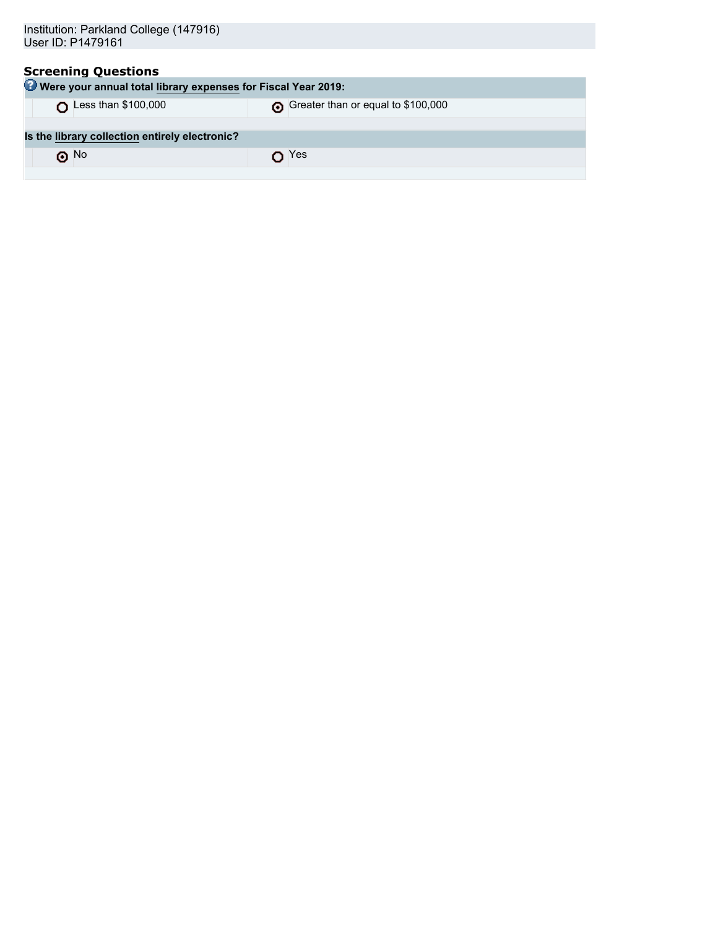| Institution: Parkland College (147916)                        |                                    |  |  |  |  |
|---------------------------------------------------------------|------------------------------------|--|--|--|--|
| User ID: P1479161                                             |                                    |  |  |  |  |
|                                                               |                                    |  |  |  |  |
| <b>Screening Questions</b>                                    |                                    |  |  |  |  |
| Were your annual total library expenses for Fiscal Year 2019: |                                    |  |  |  |  |
| Less than \$100,000                                           | Greater than or equal to \$100,000 |  |  |  |  |
|                                                               |                                    |  |  |  |  |
| Is the library collection entirely electronic?                |                                    |  |  |  |  |
| $\odot$ No                                                    | $\mathsf{D}$ Yes                   |  |  |  |  |
|                                                               |                                    |  |  |  |  |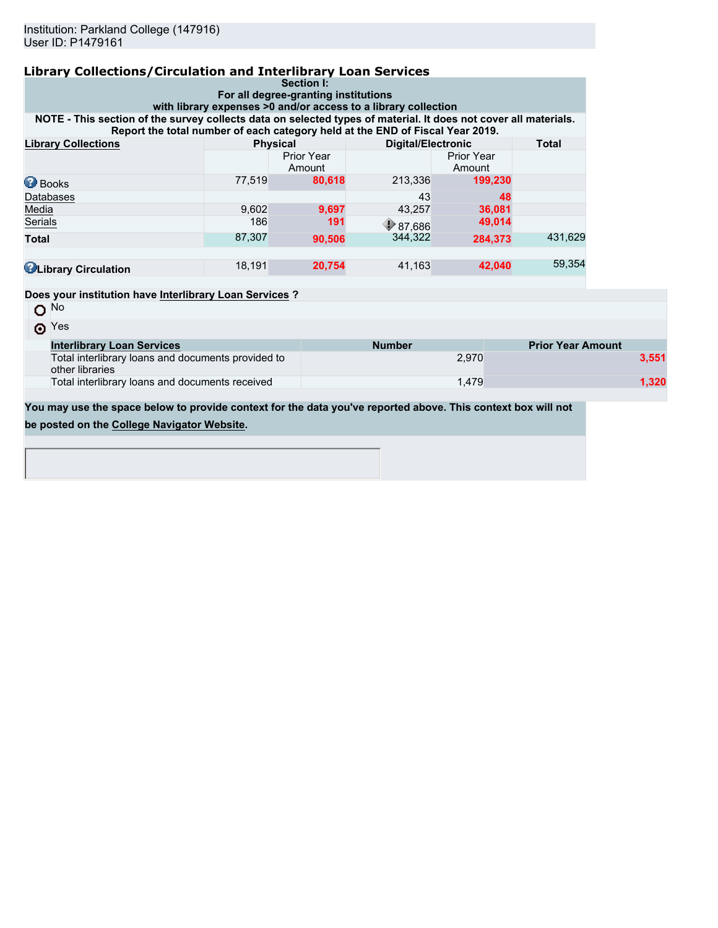| <b>Library Collections/Circulation and Interlibrary Loan Services</b>                                                                                                                            |                                                              | Section I:                           |                                                                |                             |                          |       |  |
|--------------------------------------------------------------------------------------------------------------------------------------------------------------------------------------------------|--------------------------------------------------------------|--------------------------------------|----------------------------------------------------------------|-----------------------------|--------------------------|-------|--|
|                                                                                                                                                                                                  |                                                              | For all degree-granting institutions |                                                                |                             |                          |       |  |
|                                                                                                                                                                                                  |                                                              |                                      | with library expenses >0 and/or access to a library collection |                             |                          |       |  |
| NOTE - This section of the survey collects data on selected types of material. It does not cover all materials.<br>Report the total number of each category held at the END of Fiscal Year 2019. |                                                              |                                      |                                                                |                             |                          |       |  |
| <b>Library Collections</b>                                                                                                                                                                       | <b>Total</b><br><b>Physical</b><br><b>Digital/Electronic</b> |                                      |                                                                |                             |                          |       |  |
|                                                                                                                                                                                                  |                                                              | Prior Year<br>Amount                 |                                                                | <b>Prior Year</b><br>Amount |                          |       |  |
| <b>Books</b>                                                                                                                                                                                     | 77.519                                                       | 80.618                               | 213,336                                                        | 199,230                     |                          |       |  |
| Databases                                                                                                                                                                                        |                                                              |                                      | 43                                                             | 48                          |                          |       |  |
| Media                                                                                                                                                                                            | 9,602                                                        | 9,697                                | 43,257                                                         | 36,081                      |                          |       |  |
| <b>Serials</b>                                                                                                                                                                                   | 186                                                          | 191                                  | $\bigcirc$ 87,686                                              | 49,014                      |                          |       |  |
| <b>Total</b>                                                                                                                                                                                     | 87,307                                                       | 90,506                               | 344,322                                                        | 284.373                     | 431,629                  |       |  |
| <b>ULibrary Circulation</b>                                                                                                                                                                      | 18,191                                                       | 20,754                               | 41,163                                                         | 42,040                      | 59.354                   |       |  |
| Does your institution have Interlibrary Loan Services?                                                                                                                                           |                                                              |                                      |                                                                |                             |                          |       |  |
| O <sub>No</sub>                                                                                                                                                                                  |                                                              |                                      |                                                                |                             |                          |       |  |
| $\odot$ Yes                                                                                                                                                                                      |                                                              |                                      |                                                                |                             |                          |       |  |
| <b>Interlibrary Loan Services</b>                                                                                                                                                                |                                                              |                                      | <b>Number</b>                                                  |                             | <b>Prior Year Amount</b> |       |  |
| Total interlibrary loans and documents provided to<br>other libraries                                                                                                                            |                                                              |                                      |                                                                | 2.970                       |                          | 3,551 |  |
| Total interlibrary loans and documents received<br>1,479                                                                                                                                         |                                                              |                                      |                                                                |                             | 1.320                    |       |  |
| You may use the space below to provide context for the data you've reported above. This context box will not                                                                                     |                                                              |                                      |                                                                |                             |                          |       |  |
| be posted on the College Navigator Website.                                                                                                                                                      |                                                              |                                      |                                                                |                             |                          |       |  |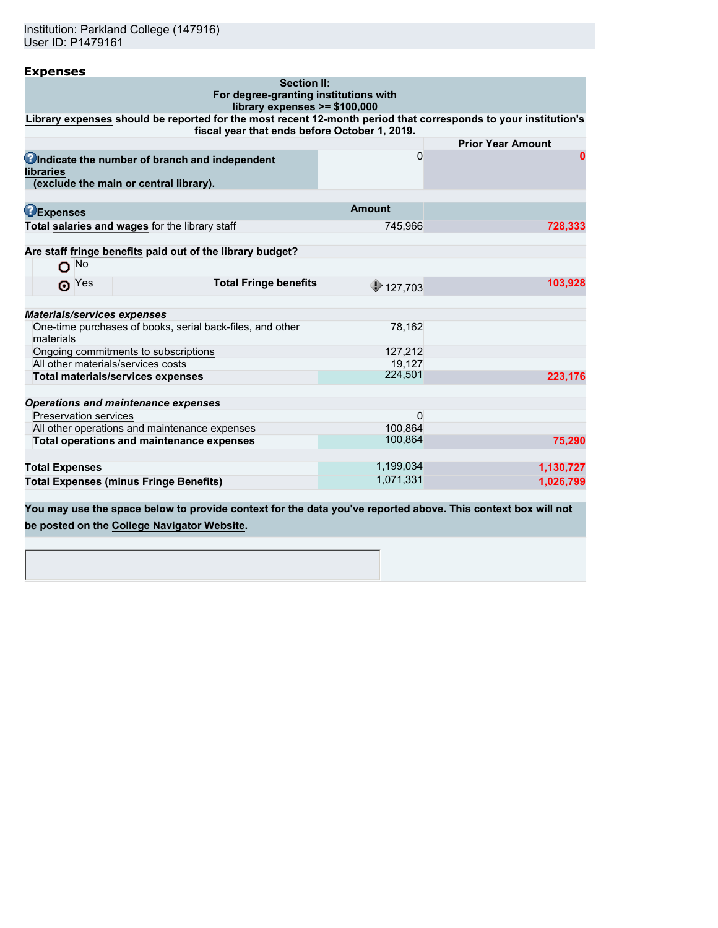Institution: Parkland College (147916) User ID: P1479161

| <b>Expenses</b>                                                                                                                                                 |               |                          |
|-----------------------------------------------------------------------------------------------------------------------------------------------------------------|---------------|--------------------------|
| <b>Section II:</b><br>For degree-granting institutions with<br>library expenses $>= $100,000$                                                                   |               |                          |
| Library expenses should be reported for the most recent 12-month period that corresponds to your institution's<br>fiscal year that ends before October 1, 2019. |               |                          |
|                                                                                                                                                                 |               | <b>Prior Year Amount</b> |
| Undicate the number of branch and independent<br><b>libraries</b><br>(exclude the main or central library).                                                     | 0             | $\bf{0}$                 |
|                                                                                                                                                                 |               |                          |
| <b>BExpenses</b>                                                                                                                                                | <b>Amount</b> |                          |
| Total salaries and wages for the library staff                                                                                                                  | 745,966       | 728,333                  |
|                                                                                                                                                                 |               |                          |
| Are staff fringe benefits paid out of the library budget?                                                                                                       |               |                          |
| $O$ No                                                                                                                                                          |               |                          |
| <b>Total Fringe benefits</b><br>$\odot$ Yes                                                                                                                     | \$127,703     | 103,928                  |
| <b>Materials/services expenses</b>                                                                                                                              |               |                          |
| One-time purchases of books, serial back-files, and other                                                                                                       | 78,162        |                          |
| materials                                                                                                                                                       |               |                          |
| Ongoing commitments to subscriptions                                                                                                                            | 127,212       |                          |
| All other materials/services costs                                                                                                                              | 19.127        |                          |
| <b>Total materials/services expenses</b>                                                                                                                        | 224,501       | 223,176                  |
| <b>Operations and maintenance expenses</b>                                                                                                                      |               |                          |
| <b>Preservation services</b>                                                                                                                                    | $\mathbf 0$   |                          |
| All other operations and maintenance expenses                                                                                                                   | 100.864       |                          |
| Total operations and maintenance expenses                                                                                                                       | 100,864       | 75,290                   |
|                                                                                                                                                                 |               |                          |
| <b>Total Expenses</b>                                                                                                                                           | 1,199,034     | 1,130,727                |
| <b>Total Expenses (minus Fringe Benefits)</b>                                                                                                                   | 1,071,331     | 1,026,799                |
|                                                                                                                                                                 |               |                          |

**You may use the space below to provide context for the data you've reported above. This context box will not be posted on the [College Navigator Website.](http://nces.ed.gov/collegenavigator/)**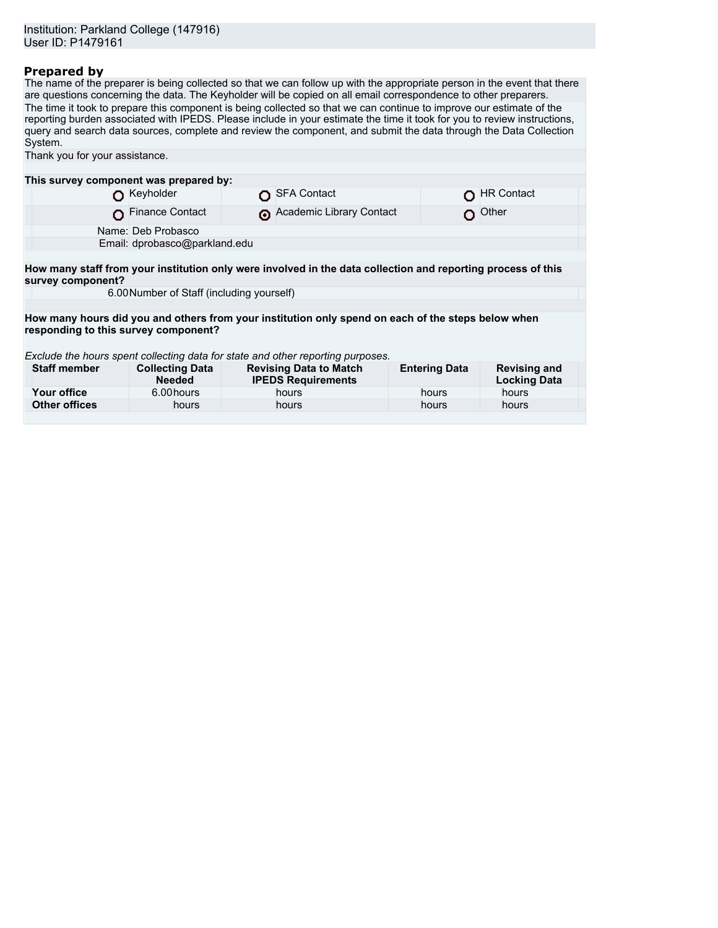### **Prepared by**

The name of the preparer is being collected so that we can follow up with the appropriate person in the event that there are questions concerning the data. The Keyholder will be copied on all email correspondence to other preparers. The time it took to prepare this component is being collected so that we can continue to improve our estimate of the reporting burden associated with IPEDS. Please include in your estimate the time it took for you to review instructions, query and search data sources, complete and review the component, and submit the data through the Data Collection System.

| Thank you for your assistance.                                                                                                             |                                         |  |                                                            |                      |                                            |  |
|--------------------------------------------------------------------------------------------------------------------------------------------|-----------------------------------------|--|------------------------------------------------------------|----------------------|--------------------------------------------|--|
|                                                                                                                                            |                                         |  |                                                            |                      |                                            |  |
| This survey component was prepared by:                                                                                                     |                                         |  |                                                            |                      |                                            |  |
|                                                                                                                                            | Keyholder                               |  | <b>SFA Contact</b>                                         |                      | <b>HR Contact</b>                          |  |
|                                                                                                                                            | <b>Finance Contact</b>                  |  | Academic Library Contact                                   | O.                   | Other                                      |  |
|                                                                                                                                            | Name: Deb Probasco                      |  |                                                            |                      |                                            |  |
|                                                                                                                                            | Email: dprobasco@parkland.edu           |  |                                                            |                      |                                            |  |
|                                                                                                                                            |                                         |  |                                                            |                      |                                            |  |
| How many staff from your institution only were involved in the data collection and reporting process of this<br>survey component?          |                                         |  |                                                            |                      |                                            |  |
| 6.00 Number of Staff (including yourself)                                                                                                  |                                         |  |                                                            |                      |                                            |  |
|                                                                                                                                            |                                         |  |                                                            |                      |                                            |  |
| How many hours did you and others from your institution only spend on each of the steps below when<br>responding to this survey component? |                                         |  |                                                            |                      |                                            |  |
|                                                                                                                                            |                                         |  |                                                            |                      |                                            |  |
| Exclude the hours spent collecting data for state and other reporting purposes.                                                            |                                         |  |                                                            |                      |                                            |  |
| <b>Staff member</b>                                                                                                                        | <b>Collecting Data</b><br><b>Needed</b> |  | <b>Revising Data to Match</b><br><b>IPEDS Requirements</b> | <b>Entering Data</b> | <b>Revising and</b><br><b>Locking Data</b> |  |
| Your office                                                                                                                                | 6.00 hours                              |  | hours                                                      | hours                | hours                                      |  |
| <b>Other offices</b>                                                                                                                       | hours                                   |  | hours                                                      | hours                | hours                                      |  |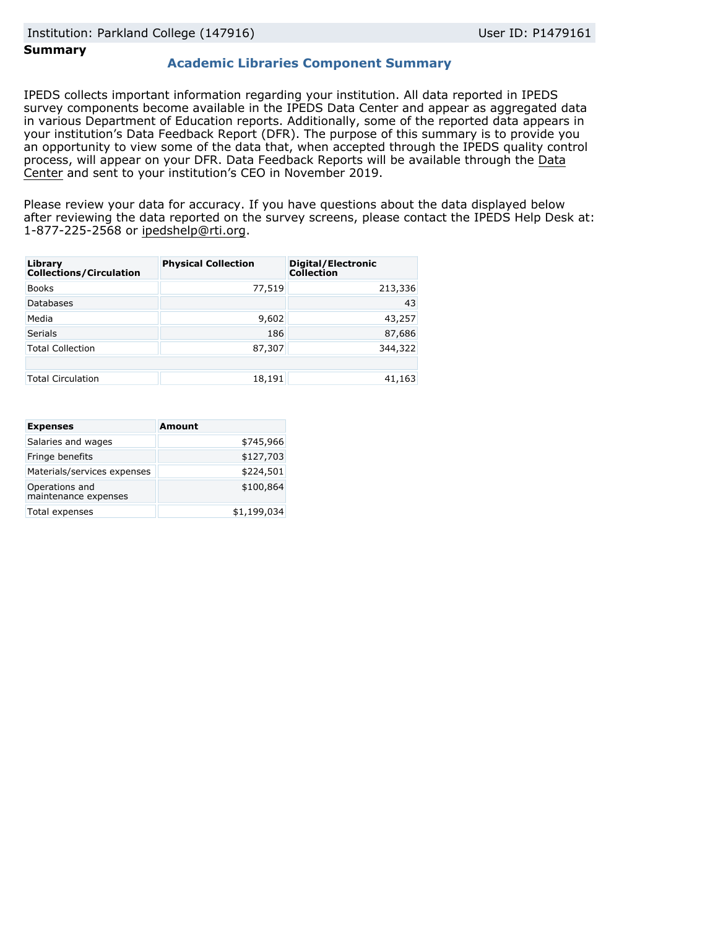### **Summary**

### **Academic Libraries Component Summary**

IPEDS collects important information regarding your institution. All data reported in IPEDS survey components become available in the IPEDS Data Center and appear as aggregated data in various Department of Education reports. Additionally, some of the reported data appears in your institution's Data Feedback Report (DFR). The purpose of this summary is to provide you an opportunity to view some of the data that, when accepted through the IPEDS quality control process, will appear on your DFR. Data Feedback Reports will be available through the [Data](https://nces.ed.gov/ipeds/use-the-data) [Center](https://nces.ed.gov/ipeds/use-the-data) and sent to your institution's CEO in November 2019.

Please review your data for accuracy. If you have questions about the data displayed below after reviewing the data reported on the survey screens, please contact the IPEDS Help Desk at: 1-877-225-2568 or ipedshelp@rti.org.

| Library<br><b>Collections/Circulation</b> | <b>Physical Collection</b> | Digital/Electronic<br><b>Collection</b> |
|-------------------------------------------|----------------------------|-----------------------------------------|
| <b>Books</b>                              | 77,519                     | 213,336                                 |
| Databases                                 |                            | 43                                      |
| Media                                     | 9,602                      | 43,257                                  |
| <b>Serials</b>                            | 186                        | 87,686                                  |
| <b>Total Collection</b>                   | 87,307                     | 344,322                                 |
|                                           |                            |                                         |
| <b>Total Circulation</b>                  | 18,191                     | 41,163                                  |

| <b>Expenses</b>                        | <b>Amount</b> |
|----------------------------------------|---------------|
| Salaries and wages                     | \$745,966     |
| Fringe benefits                        | \$127,703     |
| Materials/services expenses            | \$224,501     |
| Operations and<br>maintenance expenses | \$100,864     |
| Total expenses                         | \$1,199,034   |